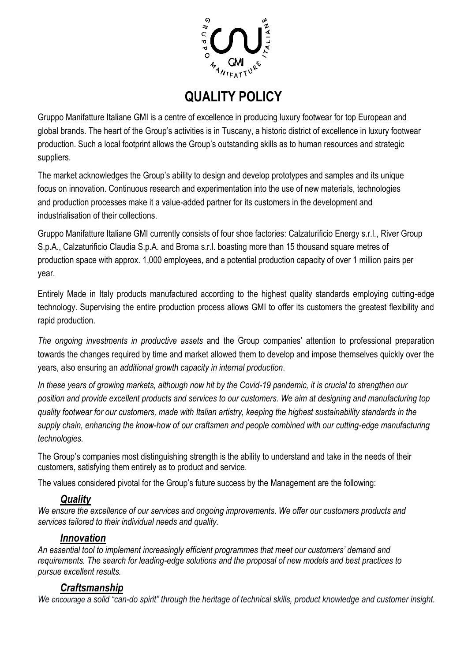

# **QUALITY POLICY**

Gruppo Manifatture Italiane GMI is a centre of excellence in producing luxury footwear for top European and global brands. The heart of the Group's activities is in Tuscany, a historic district of excellence in luxury footwear production. Such a local footprint allows the Group's outstanding skills as to human resources and strategic suppliers.

The market acknowledges the Group's ability to design and develop prototypes and samples and its unique focus on innovation. Continuous research and experimentation into the use of new materials, technologies and production processes make it a value-added partner for its customers in the development and industrialisation of their collections.

Gruppo Manifatture Italiane GMI currently consists of four shoe factories: Calzaturificio Energy s.r.l., River Group S.p.A., Calzaturificio Claudia S.p.A. and Broma s.r.l. boasting more than 15 thousand square metres of production space with approx. 1,000 employees, and a potential production capacity of over 1 million pairs per year.

Entirely Made in Italy products manufactured according to the highest quality standards employing cutting-edge technology. Supervising the entire production process allows GMI to offer its customers the greatest flexibility and rapid production.

*The ongoing investments in productive assets* and the Group companies' attention to professional preparation towards the changes required by time and market allowed them to develop and impose themselves quickly over the years, also ensuring an *additional growth capacity in internal production*.

*In these years of growing markets, although now hit by the Covid-19 pandemic, it is crucial to strengthen our position and provide excellent products and services to our customers. We aim at designing and manufacturing top quality footwear for our customers, made with Italian artistry, keeping the highest sustainability standards in the supply chain, enhancing the know-how of our craftsmen and people combined with our cutting-edge manufacturing technologies.* 

The Group's companies most distinguishing strength is the ability to understand and take in the needs of their customers, satisfying them entirely as to product and service.

The values considered pivotal for the Group's future success by the Management are the following:

## *Quality*

*We ensure the excellence of our services and ongoing improvements. We offer our customers products and services tailored to their individual needs and quality.*

### *Innovation*

*An essential tool to implement increasingly efficient programmes that meet our customers' demand and requirements. The search for leading-edge solutions and the proposal of new models and best practices to pursue excellent results.*

### *Craftsmanship*

*We encourage a solid "can-do spirit" through the heritage of technical skills, product knowledge and customer insight.*